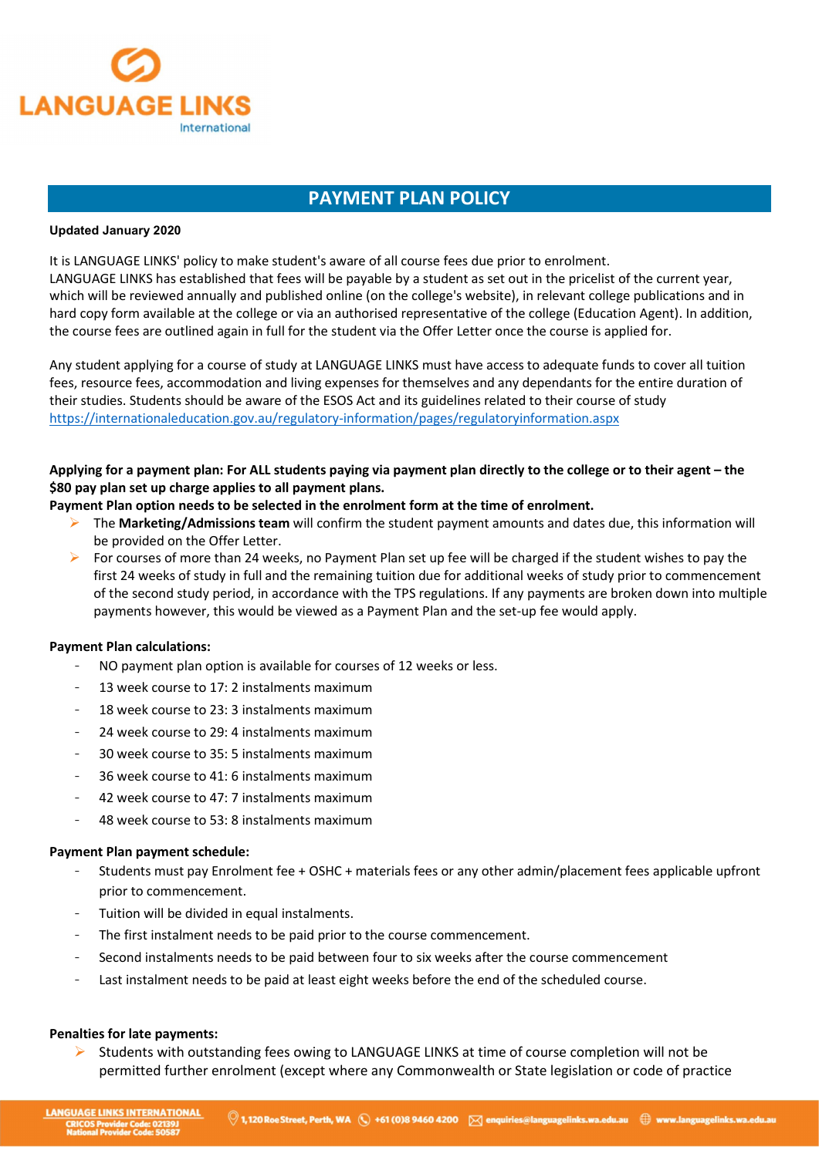

# PAYMENT PLAN POLICY

#### Updated January 2020

It is LANGUAGE LINKS' policy to make student's aware of all course fees due prior to enrolment. LANGUAGE LINKS has established that fees will be payable by a student as set out in the pricelist of the current year, which will be reviewed annually and published online (on the college's website), in relevant college publications and in hard copy form available at the college or via an authorised representative of the college (Education Agent). In addition, the course fees are outlined again in full for the student via the Offer Letter once the course is applied for.

Any student applying for a course of study at LANGUAGE LINKS must have access to adequate funds to cover all tuition fees, resource fees, accommodation and living expenses for themselves and any dependants for the entire duration of their studies. Students should be aware of the ESOS Act and its guidelines related to their course of study https://internationaleducation.gov.au/regulatory-information/pages/regulatoryinformation.aspx

# Applying for a payment plan: For ALL students paying via payment plan directly to the college or to their agent – the \$80 pay plan set up charge applies to all payment plans.

## Payment Plan option needs to be selected in the enrolment form at the time of enrolment.

- The Marketing/Admissions team will confirm the student payment amounts and dates due, this information will be provided on the Offer Letter.
- For courses of more than 24 weeks, no Payment Plan set up fee will be charged if the student wishes to pay the first 24 weeks of study in full and the remaining tuition due for additional weeks of study prior to commencement of the second study period, in accordance with the TPS regulations. If any payments are broken down into multiple payments however, this would be viewed as a Payment Plan and the set-up fee would apply.

# Payment Plan calculations:

- NO payment plan option is available for courses of 12 weeks or less.
- 13 week course to 17: 2 instalments maximum
- 18 week course to 23: 3 instalments maximum
- 24 week course to 29: 4 instalments maximum
- 30 week course to 35: 5 instalments maximum
- 36 week course to 41: 6 instalments maximum
- 42 week course to 47: 7 instalments maximum
- 48 week course to 53: 8 instalments maximum

#### Payment Plan payment schedule:

- Students must pay Enrolment fee + OSHC + materials fees or any other admin/placement fees applicable upfront prior to commencement.
- Tuition will be divided in equal instalments.
- The first instalment needs to be paid prior to the course commencement.
- Second instalments needs to be paid between four to six weeks after the course commencement
- Last instalment needs to be paid at least eight weeks before the end of the scheduled course.

#### Penalties for late payments:

 $\triangleright$  Students with outstanding fees owing to LANGUAGE LINKS at time of course completion will not be permitted further enrolment (except where any Commonwealth or State legislation or code of practice